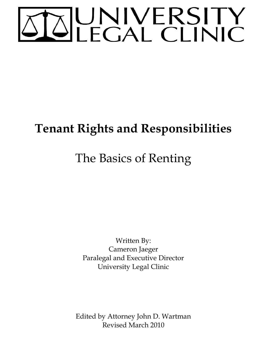# TOUNIVERSITY

## **Tenant Rights and Responsibilities**

# The Basics of Renting

Written By: Cameron Jaeger Paralegal and Executive Director University Legal Clinic

Edited by Attorney John D. Wartman Revised March 2010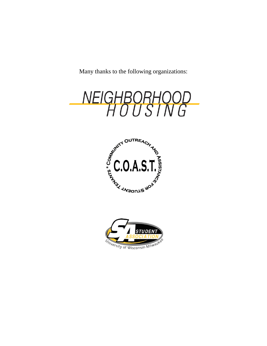Many thanks to the following organizations:



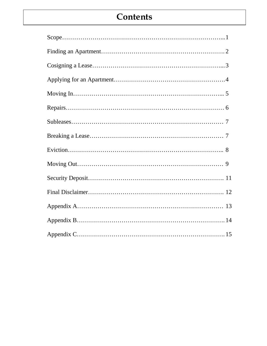## **Contents**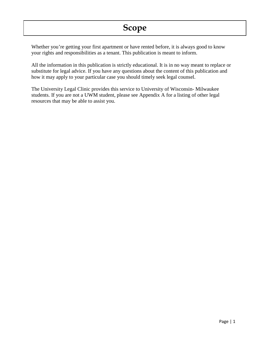Whether you're getting your first apartment or have rented before, it is always good to know your rights and responsibilities as a tenant. This publication is meant to inform.

All the information in this publication is strictly educational. It is in no way meant to replace or substitute for legal advice. If you have any questions about the content of this publication and how it may apply to your particular case you should timely seek legal counsel.

The University Legal Clinic provides this service to University of Wisconsin- Milwaukee students. If you are not a UWM student, please see Appendix A for a listing of other legal resources that may be able to assist you.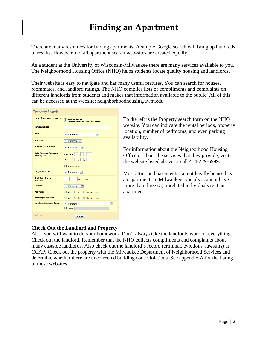## **Finding an Apartment**

There are many resources for finding apartments. A simple Google search will bring up hundreds of results. However, not all apartment search web-sites are created equally.

As a student at the University of Wisconsin-Milwaukee there are many services available to you. The Neighborhood Housing Office (NHO) helps students locate quality housing and landlords.

Their website is easy to navigate and has many useful features. You can search for houses, roommates, and landlord ratings. The NHO compiles lists of compliments and complaints on different landlords from students and makes that information available to the public. All of this can be accessed at the website: neighborhoodhousing.uwm.edu

| <b>Property Search</b>                 |                                                                                        |
|----------------------------------------|----------------------------------------------------------------------------------------|
| <b>Type of Property to search</b>      | C Landlord Listings<br>◯ Student Rooms for Rent / Subleases                            |
| <b>Street Address</b>                  |                                                                                        |
| <b>Area</b>                            | No Preference<br>×                                                                     |
| <b>Unit Type</b>                       | No Preference  v                                                                       |
| <b>Number of Bedrooms</b>              | No Preference<br>M                                                                     |
| Date Available Between<br>(MM/DD/YYYY) | $\mathcal{L}$<br><b>Start Date:</b><br>$\overline{1}$<br>End Date:<br>$\left  \right $ |
|                                        | Available Now                                                                          |
| <b>Length of Lease</b>                 | No Preference V                                                                        |
| <b>Rent Price Range</b><br>(per month) | $(min - max)$                                                                          |
| <b>Parking</b>                         | No Preference<br>$\mathbf{v}$                                                          |
| <b>Pet Policy</b>                      | $\bigcirc$ Yes $\bigcirc$ No $\bigcirc$ No Preference                                  |
| <b>Handicap Accessible</b>             | ○ Yes ○ No · ⊙ No Preference                                                           |
| <b>Landlord/Company Name</b>           | No Preference<br>M<br>$\Box$ Other:                                                    |
| <b>Reset Form</b>                      | <b>Search</b>                                                                          |

To the left is the Property search form on the NHO website. You can indicate the rental periods, property location, number of bedrooms, and even parking availability.

For information about the Neighborhood Housing Office or about the services that they provide, visit the website listed above or call 414-229-6999.

Most attics and basements cannot legally be used as an apartment. In Milwaukee, you also cannot have more than three (3) unrelated individuals rent an apartment.

#### **Check Out the Landlord and Property**

Also, you will want to do your homework. Don't always take the landlords word on everything. Check out the landlord. Remember that the NHO collects compliments and complaints about many eastside landlords. Also check out the landlord's record (criminal, evictions, lawsuits) at CCAP. Check out the property with the Milwaukee Department of Neighborhood Services and determine whether there are uncorrected building code violations. See appendix A for the listing of these websites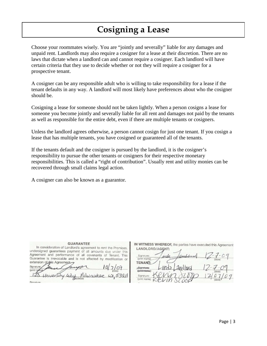## **Cosigning a Lease**

Choose your roommates wisely. You are "jointly and severally" liable for any damages and unpaid rent. Landlords may also require a cosigner for a lease at their discretion. There are no laws that dictate when a landlord can and cannot require a cosigner. Each landlord will have certain criteria that they use to decide whether or not they will require a cosigner for a prospective tenant.

A cosigner can be any responsible adult who is willing to take responsibility for a lease if the tenant defaults in any way. A landlord will most likely have preferences about who the cosigner should be.

Cosigning a lease for someone should not be taken lightly. When a person cosigns a lease for someone you become jointly and severally liable for all rent and damages not paid by the tenants as well as responsible for the entire debt, even if there are multiple tenants or cosigners.

Unless the landlord agrees otherwise, a person cannot cosign for just one tenant. If you cosign a lease that has multiple tenants, you have cosigned or guaranteed all of the tenants.

If the tenants default and the cosigner is pursued by the landlord, it is the cosigner's responsibility to pursue the other tenants or cosigners for their respective monetary responsibilities. This is called a "right of contribution". Usually rent and utility monies can be recovered through small claims legal action.

A cosigner can also be known as a guarantor.

| Agreement and performance of all covenants of Tenant. This      |                                   |
|-----------------------------------------------------------------|-----------------------------------|
| Guarantee is irrevocable and is not affected by modification or |                                   |
| extension of this Agreement.                                    |                                   |
| Signature:                                                      |                                   |
| (print name)                                                    |                                   |
|                                                                 | University usy Milwaukee w, 53211 |
|                                                                 |                                   |

**GUARANTEE** 

In consideration of Landlord's agreement to rent the Premises,

Signature<sup>®</sup>

IN WITNESS WHEREOF, the parties have executed this Agreement LANDLORD/AGENT:

Signature assili (print name) **ENANT:** Signature (print name)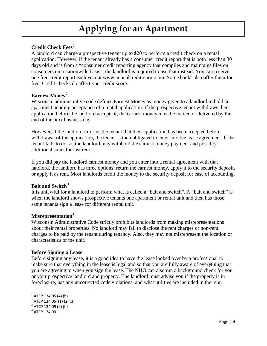## **Applying for an Apartment**

#### **Credit Check Fees**<sup>[1](#page-6-0)</sup>

A landlord can charge a prospective tenant up to \$20 to perform a credit check on a rental application. However, if the tenant already has a consumer credit report that is both less than 30 days old and is from a "consumer credit reporting agency that compiles and maintains files on consumers on a nationwide basis", the landlord is required to use that instead. You can receive one free credit report each year at www.annualcreditreport.com. Some banks also offer them for free. Credit checks do affect your credit score.

#### **Earnest Money[2](#page-6-1)**

Wisconsin administrative code defines Earnest Money as money given to a landlord to hold an apartment pending acceptance of a rental application. If the prospective tenant withdraws their application before the landlord accepts it, the earnest money must be mailed or delivered by the end of the next business day.

However, if the landlord informs the tenant that their application has been accepted before withdrawal of the application, the tenant is then obligated to enter into the lease agreement. If the tenant fails to do so, the landlord may withhold the earnest money payment and possibly additional sums for lost rent.

If you did pay the landlord earnest money and you enter into a rental agreement with that landlord, the landlord has three options: return the earnest money, apply it to the security deposit, or apply it as rent. Most landlords credit the money to the security deposit for ease of accounting.

#### **Bait and Switch[3](#page-6-2)**

It is unlawful for a landlord to perform what is called a "bait and switch". A "bait and switch" is when the landlord shows prospective tenants one apartment or rental unit and then has those same tenants sign a lease for different rental unit.

#### **Misrepresentation[4](#page-6-3)**

Wisconsin Administrative Code strictly prohibits landlords from making misrepresentations about their rental properties. No landlord may fail to disclose the rent charges or non-rent charges to be paid by the tenant during tenancy. Also, they may not misrepresent the location or characteristics of the unit.

#### **Before Signing a Lease**

Before signing any lease, it is a good idea to have the lease looked over by a professional to make sure that everything in the lease is legal and so that you are fully aware of everything that you are agreeing to when you sign the lease. The NHO can also run a background check for you or your prospective landlord and property. The landlord must advise you if the property is in foreclosure, has any uncorrected code violations, and what utilities are included in the rent.

 $1$  ATCP 134.05 (4) (b)

<span id="page-6-1"></span><span id="page-6-0"></span><sup>2</sup> ATCP 134.05 (1) (2) (3)

<span id="page-6-2"></span> $3$  ATCP 134.09 (9) (b)

<span id="page-6-3"></span><sup>4</sup> ATCP 134.09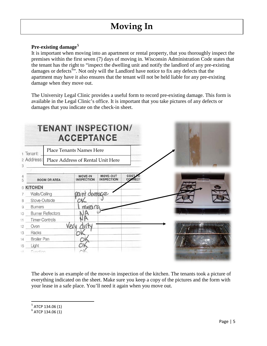## **Moving In**

#### **Pre-existing damage[5](#page-7-0)**

It is important when moving into an apartment or rental property, that you thoroughly inspect the premises within the first seven (7) days of moving in. Wisconsin Administration Code states that the tenant has the right to "inspect the dwelling unit and notify the landlord of any pre-existing damages or defects<sup>[6](#page-7-1)5</sup>. Not only will the Landlord have notice to fix any defects that the apartment may have it also ensures that the tenant will not be held liable for any pre-existing damage when they move out.

The University Legal Clinic provides a useful form to record pre-existing damage. This form is available in the Legal Clinic's office. It is important that you take pictures of any defects or damages that you indicate on the check-in sheet.

|                                       |                          | <b>TENANT INSPECTION/</b><br><b>ACCEPTANCE</b> |                                      |                             |  |  |  |
|---------------------------------------|--------------------------|------------------------------------------------|--------------------------------------|-----------------------------|--|--|--|
| Place Tenants Names Here<br>1 Tenant: |                          |                                                |                                      |                             |  |  |  |
| 2 Address:                            |                          | Place Address of Rental Unit Here              |                                      |                             |  |  |  |
|                                       | <b>ROOM OR AREA</b>      | <b>MOVE-IN</b><br><b>INSPECTION</b>            | <b>MOVE-OUT</b><br><b>INSPECTION</b> | <b>COST</b><br><b>CORRE</b> |  |  |  |
| 6 KITCHEN                             |                          |                                                |                                      |                             |  |  |  |
| Walls/Ceiling                         |                          | 2011 damage                                    |                                      |                             |  |  |  |
| Stove-Outside                         |                          |                                                |                                      |                             |  |  |  |
| <b>Burners</b>                        |                          | mesing                                         |                                      |                             |  |  |  |
|                                       | <b>Burner Reflectors</b> |                                                |                                      |                             |  |  |  |
| <b>Timer-Controls</b>                 |                          |                                                |                                      |                             |  |  |  |
| Oven                                  |                          | Vp.                                            |                                      |                             |  |  |  |
| Racks                                 |                          |                                                |                                      |                             |  |  |  |
| <b>Broiler Pan</b>                    |                          |                                                |                                      |                             |  |  |  |
| Light                                 |                          |                                                |                                      |                             |  |  |  |
| Eunction                              |                          |                                                |                                      |                             |  |  |  |

The above is an example of the move-in inspection of the kitchen. The tenants took a picture of everything indicated on the sheet. Make sure you keep a copy of the pictures and the form with your lease in a safe place. You'll need it again when you move out.

<span id="page-7-0"></span> $5$  ATCP 134.06 (1)

<span id="page-7-1"></span> $6$  ATCP 134.06 (1)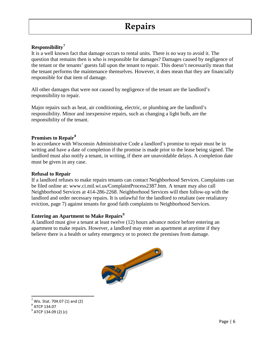#### **Responsibility[7](#page-8-0)**

It is a well known fact that damage occurs to rental units. There is no way to avoid it. The question that remains then is who is responsible for damages? Damages caused by negligence of the tenant or the tenants' guests fall upon the tenant to repair. This doesn't necessarily mean that the tenant performs the maintenance themselves. However, it does mean that they are financially responsible for that item of damage.

All other damages that were not caused by negligence of the tenant are the landlord's responsibility to repair.

Major repairs such as heat, air conditioning, electric, or plumbing are the landlord's responsibility. Minor and inexpensive repairs, such as changing a light bulb, are the responsibility of the tenant.

#### **Promises to Repair[8](#page-8-1)**

In accordance with Wisconsin Administrative Code a landlord's promise to repair must be in writing and have a date of completion if the promise is made prior to the lease being signed. The landlord must also notify a tenant, in writing, if there are unavoidable delays. A completion date must be given in any case.

#### **Refusal to Repair**

If a landlord refuses to make repairs tenants can contact Neighborhood Services. Complaints can be filed online at: www.ci.mil.wi.us/ComplaintProcess2387.htm. A tenant may also call Neighborhood Services at 414-286-2268. Neighborhood Services will then follow-up with the landlord and order necessary repairs. It is unlawful for the landlord to retaliate (see retaliatory eviction, page 7) against tenants for good faith complaints to Neighborhood Services.

#### **Entering an Apartment to Make Repairs[9](#page-8-2)**

A landlord must give a tenant at least twelve (12) hours advance notice before entering an apartment to make repairs. However, a landlord may enter an apartment at anytime if they believe there is a health or safety emergency or to protect the premises from damage.



 $7$  Wis. Stat. 704.07 (1) and (2)

<span id="page-8-1"></span><span id="page-8-0"></span><sup>8</sup> ATCP 134.07

<span id="page-8-2"></span><sup>&</sup>lt;sup>9</sup> ATCP 134.09 (2) (c)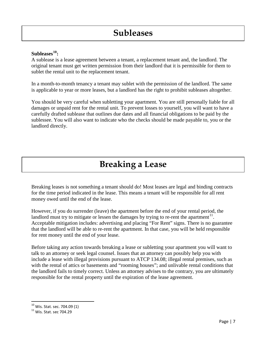#### **Subleases[10](#page-9-0) :**

A sublease is a lease agreement between a tenant, a replacement tenant and, the landlord. The original tenant must get written permission from their landlord that it is permissible for them to sublet the rental unit to the replacement tenant.

In a month-to-month tenancy a tenant may sublet with the permission of the landlord. The same is applicable to year or more leases, but a landlord has the right to prohibit subleases altogether.

You should be very careful when subletting your apartment. You are still personally liable for all damages or unpaid rent for the rental unit. To prevent losses to yourself, you will want to have a carefully drafted sublease that outlines due dates and all financial obligations to be paid by the sublessee. You will also want to indicate who the checks should be made payable to, you or the landlord directly.

## **Breaking a Lease**

Breaking leases is not something a tenant should do! Most leases are legal and binding contracts for the time period indicated in the lease. This means a tenant will be responsible for all rent money owed until the end of the lease.

However, if you do surrender (leave) the apartment before the end of your rental period, the landlord must try to mitigate or lessen the damages by trying to re-rent the apartment<sup>11</sup>. Acceptable mitigation includes: advertising and placing "For Rent" signs. There is no guarantee that the landlord will be able to re-rent the apartment. In that case, you will be held responsible for rent money until the end of your lease.

Before taking any action towards breaking a lease or subletting your apartment you will want to talk to an attorney or seek legal counsel. Issues that an attorney can possibly help you with include a lease with illegal provisions pursuant to ATCP 134.08; illegal rental premises, such as with the rental of attics or basements and "rooming houses"; and unlivable rental conditions that the landlord fails to timely correct. Unless an attorney advises to the contrary, you are ultimately responsible for the rental property until the expiration of the lease agreement.

<span id="page-9-0"></span> <sup>10</sup> Wis. Stat. sec. 704.09 (1)

<span id="page-9-1"></span> $11$  Wis. Stat. sec 704.29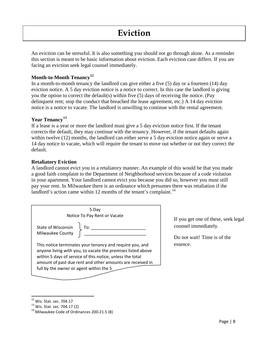### **Eviction**

An eviction can be stressful. It is also something you should not go through alone. As a reminder this section is meant to be basic information about eviction. Each eviction case differs. If you are facing an eviction seek legal counsel immediately.

#### **Month-to-Month Tenancy[12](#page-10-0)**

In a month-to-month tenancy the landlord can give either a five (5) day or a fourteen (14) day eviction notice. A 5 day eviction notice is a notice to correct. In this case the landlord is giving you the option to correct the default(s) within five (5) days of receiving the notice. (Pay delinquent rent; stop the conduct that breached the lease agreement, etc.) A 14 day eviction notice is a notice to vacate. The landlord is unwilling to continue with the rental agreement.

#### **Year Tenancy[13](#page-10-1)**

If a lease is a year or more the landlord must give a 5 day eviction notice first. If the tenant corrects the default, they may continue with the tenancy. However, if the tenant defaults again within twelve (12) months, the landlord can either serve a 5 day eviction notice again or serve a 14 day notice to vacate, which will require the tenant to move out whether or not they correct the default.

#### **Retaliatory Eviction**

A landlord cannot evict you in a retaliatory manner. An example of this would be that you made a good faith complaint to the Department of Neighborhood services because of a code violation in your apartment. Your landlord cannot evict you because you did so, however you must still pay your rent. In Milwaukee there is an ordinance which presumes there was retaliation if the landlord's action came within 12 months of the tenant's complaint. $14$ 

| 5 Dav<br>Notice To Pay Rent or Vacate                                                                                                                                                                                                             |
|---------------------------------------------------------------------------------------------------------------------------------------------------------------------------------------------------------------------------------------------------|
| State of Wisconsin $\int$ To:<br>Milwaukee County                                                                                                                                                                                                 |
| This notice terminates your tenancy and require you, and<br>anyone living with you, to vacate the premises listed above<br>within 5 days of service of this notice, unless the total<br>amount of past due rent and other amounts are received in |
| full by the owner or agent within the 5                                                                                                                                                                                                           |

If you get one of these, seek legal counsel immediately.

Do not wait! Time is of the essence.

<span id="page-10-0"></span> <sup>12</sup> Wis. Stat. sec. 704.17

<span id="page-10-1"></span><sup>&</sup>lt;sup>13</sup> Wis. Stat. sec. 704.17 (2)

<span id="page-10-2"></span><sup>&</sup>lt;sup>14</sup> Milwaukee Code of Ordinances 200-21.5 (8)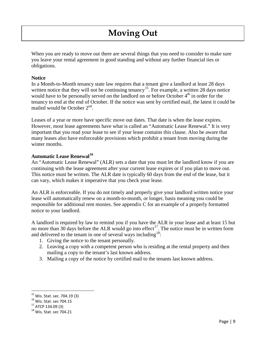## **Moving Out**

When you are ready to move out there are several things that you need to consider to make sure you leave your rental agreement in good standing and without any further financial ties or obligations.

#### **Notice**

In a Month-to-Month tenancy state law requires that a tenant give a landlord at least 28 days written notice that they will not be continuing tenancy<sup>15</sup>. For example, a written 28 days notice would have to be personally served on the landlord on or before October 4<sup>th</sup> in order for the tenancy to end at the end of October. If the notice was sent by certified mail, the latest it could be mailed would be October 2<sup>nd</sup>.

Leases of a year or more have specific move out dates. That date is when the lease expires. However, most lease agreements have what is called an "Automatic Lease Renewal." It is very important that you read your lease to see if your lease contains this clause. Also be aware that many leases also have enforceable provisions which prohibit a tenant from moving during the winter months.

#### **Automatic Lease Renewal[16](#page-11-1)**

An "Automatic Lease Renewal" (ALR) sets a date that you must let the landlord know if you are continuing with the lease agreement after your current lease expires or if you plan to move out. This notice must be written. The ALR date is typically 60 days from the end of the lease, but it can vary, which makes it imperative that you check your lease.

An ALR is enforceable. If you do not timely and properly give your landlord written notice your lease will automatically renew on a month-to-month, or longer, basis meaning you could be responsible for additional rent monies. See appendix C for an example of a properly formatted notice to your landlord.

A landlord is required by law to remind you if you have the ALR in your lease and at least 15 but no more than 30 days before the ALR would go into effect<sup>[17](#page-11-2)</sup>. The notice must be in written form and delivered to the tenant in one of several ways including  $18$ .

- 1. Giving the notice to the tenant personally.
- 2. Leaving a copy with a competent person who is residing at the rental property and then mailing a copy to the tenant's last known address.
- 3. Mailing a copy of the notice by certified mail to the tenants last known address.

<span id="page-11-0"></span> <sup>15</sup> Wis. Stat. sec. 704.19 (3)

<span id="page-11-1"></span><sup>16</sup> Wis. Stat. sec 704.15

<span id="page-11-2"></span><sup>17</sup> ATCP 134.09 (3)

<span id="page-11-3"></span><sup>&</sup>lt;sup>18</sup> Wis. Stat. sec 704.21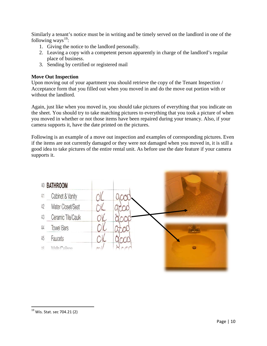Similarly a tenant's notice must be in writing and be timely served on the landlord in one of the following ways $^{19}$  $^{19}$  $^{19}$ :

- 1. Giving the notice to the landlord personally.
- 2. Leaving a copy with a competent person apparently in charge of the landlord's regular place of business.
- 3. Sending by certified or registered mail

#### **Move Out Inspection**

Upon moving out of your apartment you should retrieve the copy of the Tenant Inspection / Acceptance form that you filled out when you moved in and do the move out portion with or without the landlord.

Again, just like when you moved in, you should take pictures of everything that you indicate on the sheet. You should try to take matching pictures to everything that you took a picture of when you moved in whether or not those items have been repaired during your tenancy. Also, if your camera supports it, have the date printed on the pictures.

Following is an example of a move out inspection and examples of corresponding pictures. Even if the items are not currently damaged or they were not damaged when you moved in, it is still a good idea to take pictures of the entire rental unit. As before use the date feature if your camera supports it.

<span id="page-12-0"></span>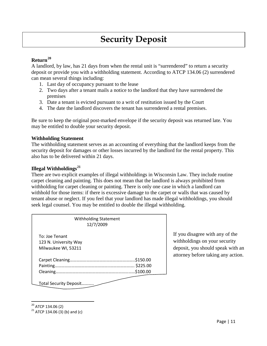## **Security Deposit**

#### **Return[20](#page-13-0)**

A landlord, by law, has 21 days from when the rental unit is "surrendered" to return a security deposit or provide you with a withholding statement. According to ATCP 134.06 (2) surrendered can mean several things including:

- 1. Last day of occupancy pursuant to the lease
- 2. Two days after a tenant mails a notice to the landlord that they have surrendered the premises
- 3. Date a tenant is evicted pursuant to a writ of restitution issued by the Court
- 4. The date the landlord discovers the tenant has surrendered a rental premises.

Be sure to keep the original post-marked envelope if the security deposit was returned late. You may be entitled to double your security deposit.

#### **Withholding Statement**

The withholding statement serves as an accounting of everything that the landlord keeps from the security deposit for damages or other losses incurred by the landlord for the rental property. This also has to be delivered within 21 days.

#### **Illegal Withholdings[21](#page-13-1)**

There are two explicit examples of illegal withholdings in Wisconsin Law. They include routine carpet cleaning and painting. This does not mean that the landlord is always prohibited from withholding for carpet cleaning or painting. There is only one case in which a landlord can withhold for those items: if there is excessive damage to the carpet or walls that was caused by tenant abuse or neglect. If you feel that your landlord has made illegal withholdings, you should seek legal counsel. You may be entitled to double the illegal withholding.

| <b>Withholding Statement</b><br>12/7/2009                      |                      |
|----------------------------------------------------------------|----------------------|
| To: Joe Tenant<br>123 N. University Way<br>Milwaukee WI, 53211 |                      |
|                                                                | \$225.00<br>\$100.00 |

If you disagree with any of the withholdings on your security deposit, you should speak with an attorney before taking any action.

Total Security Deposit………..

<span id="page-13-0"></span> <sup>20</sup> ATCP 134.06 (2)

<span id="page-13-1"></span> $21$  ATCP 134.06 (3) (b) and (c)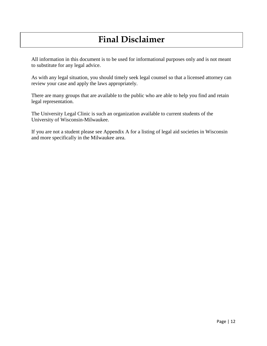## **Final Disclaimer**

All information in this document is to be used for informational purposes only and is not meant to substitute for any legal advice.

As with any legal situation, you should timely seek legal counsel so that a licensed attorney can review your case and apply the laws appropriately.

There are many groups that are available to the public who are able to help you find and retain legal representation.

The University Legal Clinic is such an organization available to current students of the University of Wisconsin-Milwaukee.

If you are not a student please see Appendix A for a listing of legal aid societies in Wisconsin and more specifically in the Milwaukee area.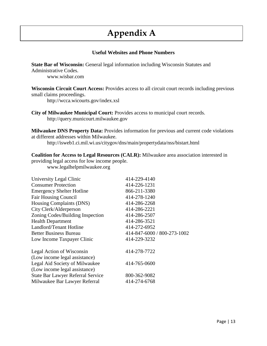## **Appendix A**

#### **Useful Websites and Phone Numbers**

**State Bar of Wisconsin:** General legal information including Wisconsin Statutes and Administrative Codes. www.wisbar.com

**Wisconsin Circuit Court Access:** Provides access to all circuit court records including previous small claims proceedings.

http://wcca.wicourts.gov/index.xsl

**City of Milwaukee Municipal Court:** Provides access to municipal court records. http://query.municourt.milwaukee.gov

**Milwaukee DNS Property Data:** Provides information for previous and current code violations at different addresses within Milwaukee.

http://isweb1.ci.mil.wi.us/citygov/dns/main/propertydata/nss/bistart.html

**Coalition for Access to Legal Resources (CALR):** Milwaukee area association interested in providing legal access for low income people.

www.legalhelpmilwaukee.org

| University Legal Clinic                  | 414-229-4140                |
|------------------------------------------|-----------------------------|
| <b>Consumer Protection</b>               | 414-226-1231                |
| <b>Emergency Shelter Hotline</b>         | 866-211-3380                |
| <b>Fair Housing Council</b>              | 414-278-1240                |
| Housing Complaints (DNS)                 | 414-286-2268                |
| City Clerk/Alderperson                   | 414-286-2221                |
| Zoning Codes/Building Inspection         | 414-286-2507                |
| <b>Health Department</b>                 | 414-286-3521                |
| Landlord/Tenant Hotline                  | 414-272-6952                |
| <b>Better Business Bureau</b>            | 414-847-6000 / 800-273-1002 |
| Low Income Taxpayer Clinic               | 414-229-3232                |
| Legal Action of Wisconsin                | 414-278-7722                |
| (Low income legal assistance)            |                             |
| Legal Aid Society of Milwaukee           | 414-765-0600                |
| (Low income legal assistance)            |                             |
| <b>State Bar Lawyer Referral Service</b> | 800-362-9082                |
| Milwaukee Bar Lawyer Referral            | 414-274-6768                |
|                                          |                             |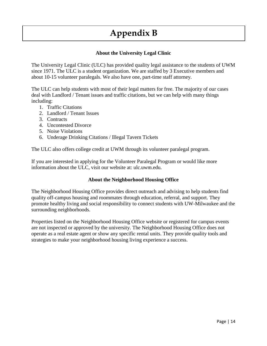## **Appendix B**

#### **About the University Legal Clinic**

The University Legal Clinic (ULC) has provided quality legal assistance to the students of UWM since 1971. The ULC is a student organization. We are staffed by 3 Executive members and about 10-15 volunteer paralegals. We also have one, part-time staff attorney.

The ULC can help students with most of their legal matters for free. The majority of our cases deal with Landlord / Tenant issues and traffic citations, but we can help with many things including:

- 1. Traffic Citations
- 2. Landlord / Tenant Issues
- 3. Contracts
- 4. Uncontested Divorce
- 5. Noise Violations
- 6. Underage Drinking Citations / Illegal Tavern Tickets

The ULC also offers college credit at UWM through its volunteer paralegal program.

If you are interested in applying for the Volunteer Paralegal Program or would like more information about the ULC, visit our website at: ulc.uwm.edu.

#### **About the Neighborhood Housing Office**

The Neighborhood Housing Office provides direct outreach and advising to help students find quality off-campus housing and roommates through education, referral, and support. They promote healthy living and social responsibility to connect students with UW-Milwaukee and the surrounding neighborhoods.

Properties listed on the Neighborhood Housing Office website or registered for campus events are not inspected or approved by the university. The Neighborhood Housing Office does not operate as a real estate agent or show any specific rental units. They provide quality tools and strategies to make your neighborhood housing living experience a success.